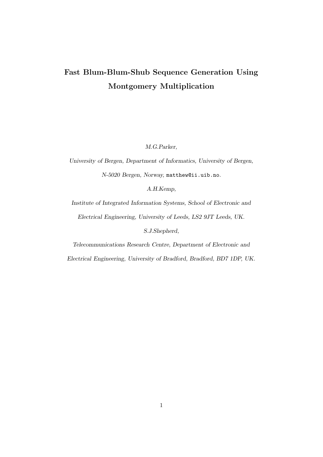## Fast Blum-Blum-Shub Sequence Generation Using Montgomery Multiplication

M.G.Parker,

University of Bergen, Department of Informatics, University of Bergen, N-5020 Bergen, Norway, matthew@ii.uib.no.

A.H.Kemp,

Institute of Integrated Information Systems, School of Electronic and Electrical Engineering, University of Leeds, LS2 9JT Leeds, UK.

S.J.Shepherd,

Telecommunications Research Centre, Department of Electronic and

Electrical Engineering, University of Bradford, Bradford, BD7 1DP, UK.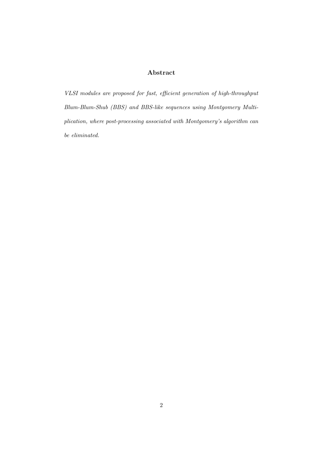#### Abstract

VLSI modules are proposed for fast, efficient generation of high-throughput Blum-Blum-Shub (BBS) and BBS-like sequences using Montgomery Multiplication, where post-processing associated with Montgomery's algorithm can be eliminated.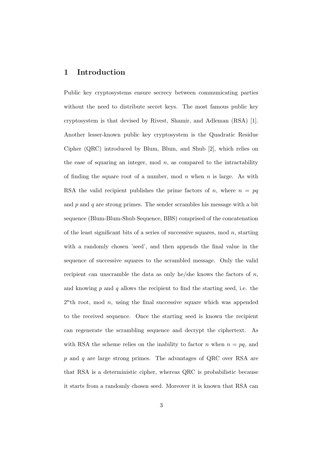#### 1 Introduction

Public key cryptosystems ensure secrecy between communicating parties without the need to distribute secret keys. The most famous public key cryptosystem is that devised by Rivest, Shamir, and Adleman (RSA) [1]. Another lesser-known public key cryptosystem is the Quadratic Residue Cipher (QRC) introduced by Blum, Blum, and Shub [2], which relies on the ease of squaring an integer, mod  $n$ , as compared to the intractability of finding the square root of a number, mod  $n$  when  $n$  is large. As with RSA the valid recipient publishes the prime factors of n, where  $n = pq$ and  $p$  and  $q$  are strong primes. The sender scrambles his message with a bit sequence (Blum-Blum-Shub Sequence, BBS) comprised of the concatenation of the least significant bits of a series of successive squares, mod  $n$ , starting with a randomly chosen 'seed', and then appends the final value in the sequence of successive squares to the scrambled message. Only the valid recipient can unscramble the data as only he/she knows the factors of  $n$ , and knowing  $p$  and  $q$  allows the recipient to find the starting seed, i.e. the  $2<sup>n</sup>$ th root, mod *n*, using the final successive square which was appended to the received sequence. Once the starting seed is known the recipient can regenerate the scrambling sequence and decrypt the ciphertext. As with RSA the scheme relies on the inability to factor n when  $n = pq$ , and p and q are large strong primes. The advantages of QRC over RSA are that RSA is a deterministic cipher, whereas QRC is probabilistic because it starts from a randomly chosen seed. Moreover it is known that RSA can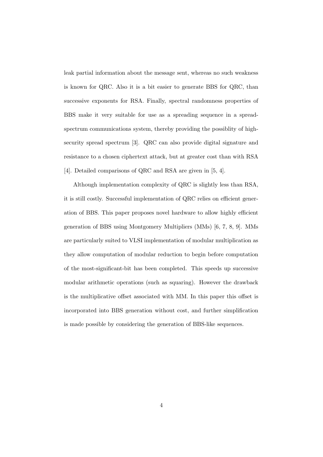leak partial information about the message sent, whereas no such weakness is known for QRC. Also it is a bit easier to generate BBS for QRC, than successive exponents for RSA. Finally, spectral randomness properties of BBS make it very suitable for use as a spreading sequence in a spreadspectrum communications system, thereby providing the possiblity of highsecurity spread spectrum [3]. QRC can also provide digital signature and resistance to a chosen ciphertext attack, but at greater cost than with RSA [4]. Detailed comparisons of QRC and RSA are given in [5, 4].

Although implementation complexity of QRC is slightly less than RSA, it is still costly. Successful implementation of QRC relies on efficient generation of BBS. This paper proposes novel hardware to allow highly efficient generation of BBS using Montgomery Multipliers (MMs) [6, 7, 8, 9]. MMs are particularly suited to VLSI implementation of modular multiplication as they allow computation of modular reduction to begin before computation of the most-significant-bit has been completed. This speeds up successive modular arithmetic operations (such as squaring). However the drawback is the multiplicative offset associated with MM. In this paper this offset is incorporated into BBS generation without cost, and further simplification is made possible by considering the generation of BBS-like sequences.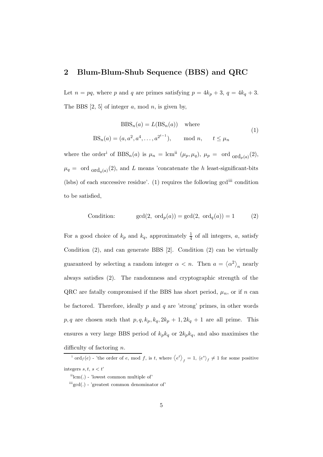#### 2 Blum-Blum-Shub Sequence (BBS) and QRC

Let  $n = pq$ , where p and q are primes satisfying  $p = 4k_p + 3$ ,  $q = 4k_q + 3$ . The BBS  $[2, 5]$  of integer a, mod n, is given by,

$$
BBSn(a) = L(BSn(a)) where
$$
  
\n
$$
BSn(a) = (a, a2, a4, ..., a2t-1), \text{ mod } n, \quad t \leq \mu_n
$$
\n(1)

where the order<sup>i</sup> of  $BBS_n(a)$  is  $\mu_n = \text{lcm}^{ii}$   $(\mu_p, \mu_q)$ ,  $\mu_p = \text{ord}_{\text{ord}_p(a)}(2)$ ,  $\mu_q = \text{ord}_{\text{ord}_q(a)}(2)$ , and L means 'concatenate the h least-significant-bits (lsbs) of each successive residue'. (1) requires the following gcdiii condition to be satisfied,

Condition: 
$$
\gcd(2, \text{ ord}_p(a)) = \gcd(2, \text{ ord}_q(a)) = 1
$$
 (2)

For a good choice of  $k_p$  and  $k_q$ , approximately  $\frac{1}{4}$  of all integers, a, satisfy Condition (2), and can generate BBS [2]. Condition (2) can be virtually guaranteed by selecting a random integer  $\alpha < n$ . Then  $a = \langle \alpha^2 \rangle_n$  nearly always satisfies (2). The randomness and cryptographic strength of the QRC are fatally compromised if the BBS has short period,  $\mu_n$ , or if n can be factored. Therefore, ideally  $p$  and  $q$  are 'strong' primes, in other words  $p, q$  are chosen such that  $p, q, k_p, k_q, 2k_p + 1, 2k_q + 1$  are all prime. This ensures a very large BBS period of  $k_p k_q$  or  $2k_p k_q$ , and also maximises the difficulty of factoring  $n$ .

<sup>i</sup> ord<sub>f</sub>(e) - 'the order of e, mod f, is t, where  $\langle e^{t} \rangle_{f} = 1, \langle e^{s} \rangle_{f} \neq 1$  for some positive integers  $s, t, s < t'$ 

 $\lim(.)$  - 'lowest common multiple of'

 $\mathrm{'''gcd}(.)$  - 'greatest common denominator of'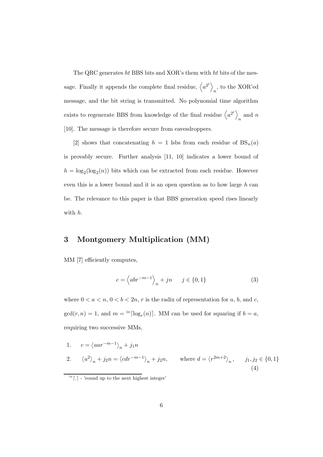The QRC generates ht BBS bits and XOR's them with ht bits of the message. Finally it appends the complete final residue,  $\langle a^{2^t} \rangle$  $_n$ , to the XOR'ed message, and the bit string is transmitted. No polynomial time algorithm exists to regenerate BBS from knowledge of the final residue  $\langle a^{2^t} \rangle$  $_n$  and  $n$ [10]. The message is therefore secure from eavesdroppers.

[2] shows that concatenating  $h = 1$  lsbs from each residue of  $BS_n(a)$ is provably secure. Further analysis [11, 10] indicates a lower bound of  $h = \log_2(\log_2(n))$  bits which can be extracted from each residue. However even this is a lower bound and it is an open question as to how large  $h$  can be. The relevance to this paper is that BBS generation speed rises linearly with h.

#### 3 Montgomery Multiplication (MM)

MM [7] efficiently computes,

$$
c = \left\langle abr^{-m-1} \right\rangle_n + jn \qquad j \in \{0, 1\}
$$
 (3)

where  $0 < a < n$ ,  $0 < b < 2n$ , r is the radix of representation for a, b, and c,  $gcd(r, n) = 1$ , and  $m = \frac{iv \log_r(n)}{n}$ . MM can be used for squaring if  $b = a$ , requiring two successive MMs,

1. 
$$
c = \langle aar^{-m-1} \rangle_n + j_1n
$$
  
\n2.  $\langle a^2 \rangle_n + j_2n = \langle cdr^{-m-1} \rangle_n + j_2n$ , where  $d = \langle r^{2m+2} \rangle_n$ ,  $j_1, j_2 \in \{0, 1\}$   
\n(4)

 $\frac{iv}{i}$ . - 'round up to the next highest integer'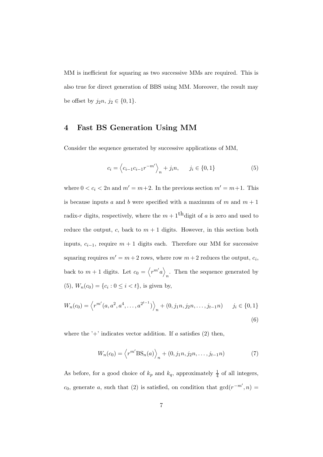MM is inefficient for squaring as two successive MMs are required. This is also true for direct generation of BBS using MM. Moreover, the result may be offset by  $j_2n, j_2 \in \{0, 1\}.$ 

#### 4 Fast BS Generation Using MM

Consider the sequence generated by successive applications of MM,

$$
c_i = \left\langle c_{i-1}c_{i-1}r^{-m'} \right\rangle_n + j_in, \qquad j_i \in \{0, 1\}
$$
 (5)

where  $0 < c_i < 2n$  and  $m' = m+2$ . In the previous section  $m' = m+1$ . This is because inputs a and b were specified with a maximum of m and  $m + 1$ radix-r digits, respectively, where the  $m+1$ <sup>th</sup> digit of a is zero and used to reduce the output, c, back to  $m + 1$  digits. However, in this section both inputs,  $c_{i-1}$ , require  $m + 1$  digits each. Therefore our MM for successive squaring requires  $m' = m + 2$  rows, where row  $m + 2$  reduces the output,  $c_i$ , back to  $m+1$  digits. Let  $c_0 = \langle r^{m'} a \rangle$ . Then the sequence generated by  $\sum_{n=1}^{\infty}$  $(5)$ ,  $W_n(c_0) = \{c_i : 0 \le i < t\}$ , is given by,

$$
W_n(c_0) = \left\langle r^{m'}(a, a^2, a^4, \dots, a^{2^{t-1}}) \right\rangle_n + (0, j_1 n, j_2 n, \dots, j_{t-1} n) \qquad j_i \in \{0, 1\}
$$
\n
$$
(6)
$$

where the  $+$  indicates vector addition. If a satisfies (2) then,

$$
W_n(c_0) = \left\langle r^{m'} \mathcal{BS}_n(a) \right\rangle_n + (0, j_1 n, j_2 n, \dots, j_{t-1} n)
$$
 (7)

As before, for a good choice of  $k_p$  and  $k_q$ , approximately  $\frac{1}{4}$  of all integers,  $c_0$ , generate a, such that (2) is satisfied, on condition that  $gcd(r^{-m'}, n) =$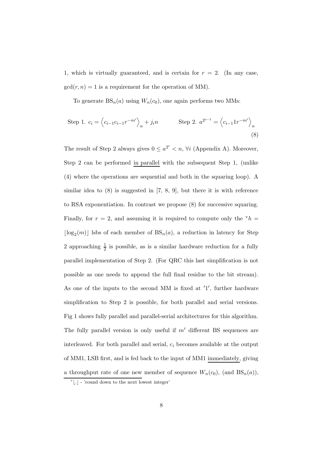1, which is virtually guaranteed, and is certain for  $r = 2$ . (In any case,  $gcd(r, n) = 1$  is a requirement for the operation of MM).

To generate  $BS_n(a)$  using  $W_n(c_0)$ , one again performs two MMs:

Step 1. 
$$
c_i = \left\langle c_{i-1}c_{i-1}r^{-m'} \right\rangle_n + j_in
$$
 Step 2.  $a^{2^{i-1}} = \left\langle c_{i-1}1r^{-m'} \right\rangle_n$  (8)

The result of Step 2 always gives  $0 \leq a^{2^i} < n$ ,  $\forall i$  (Appendix A). Moreover, Step 2 can be performed in parallel with the subsequent Step 1, (unlike (4) where the operations are sequential and both in the squaring loop). A similar idea to (8) is suggested in [7, 8, 9], but there it is with reference to RSA exponentiation. In contrast we propose (8) for successive squaring. Finally, for  $r = 2$ , and assuming it is required to compute only the  $v h =$  $\lfloor \log_2(m) \rfloor$  lsbs of each member of  $BS_n(a)$ , a reduction in latency for Step 2 approaching  $\frac{1}{2}$  is possible, as is a similar hardware reduction for a fully parallel implementation of Step 2. (For QRC this last simplification is not possible as one needs to append the full final residue to the bit stream). As one of the inputs to the second MM is fixed at  $'1'$ , further hardware simplification to Step 2 is possible, for both parallel and serial versions. Fig 1 shows fully parallel and parallel-serial architectures for this algorithm. The fully parallel version is only useful if  $m'$  different BS sequences are interleaved. For both parallel and serial,  $c_i$  becomes available at the output of MM1, LSB first, and is fed back to the input of MM1 immediately, giving a throughput rate of one new member of sequence  $W_n(c_0)$ , (and  $BS_n(a)$ ),

 $v$ [.] - 'round down to the next lowest integer'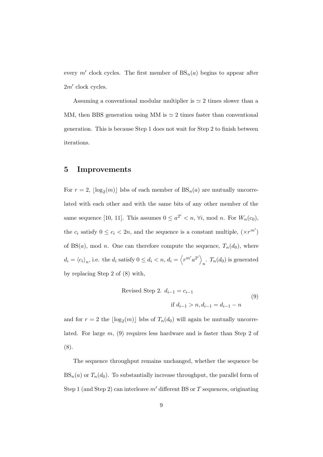every m' clock cycles. The first member of  $BS_n(a)$  begins to appear after  $2m'$  clock cycles.

Assuming a conventional modular multiplier is  $\simeq 2$  times slower than a MM, then BBS generation using MM is  $\simeq 2$  times faster than conventional generation. This is because Step 1 does not wait for Step 2 to finish between iterations.

#### 5 Improvements

For  $r = 2$ ,  $\lfloor \log_2(m) \rfloor$  lsbs of each member of  $BS_n(a)$  are mutually uncorrelated with each other and with the same bits of any other member of the same sequence [10, 11]. This assumes  $0 \leq a^{2^i} < n$ ,  $\forall i$ , mod *n*. For  $W_n(c_0)$ , the  $c_i$  satisfy  $0 \le c_i < 2n$ , and the sequence is a constant multiple,  $(\times r^{m'})$ of BS(*a*), mod *n*. One can therefore compute the sequence,  $T_n(d_0)$ , where  $d_i = \langle c_i \rangle_n$ , i.e. the  $d_i$  satisfy  $0 \leq d_i < n$ ,  $d_i = \langle r^{m'} a^{2^i} \rangle$  $\int_n$ .  $T_n(d_0)$  is generated by replacing Step 2 of (8) with,

Revised Step 2. 
$$
d_{i-1} = c_{i-1}
$$
   
if  $d_{i-1} > n, d_{i-1} = d_{i-1} - n$  (9)

and for  $r = 2$  the  $\lfloor \log_2(m) \rfloor$  lsbs of  $T_n(d_0)$  will again be mutually uncorrelated. For large m, (9) requires less hardware and is faster than Step 2 of (8).

The sequence throughput remains unchanged, whether the sequence be  $BS_n(a)$  or  $T_n(d_0)$ . To substantially increase throughput, the parallel form of Step 1 (and Step 2) can interleave  $m'$  different BS or T sequences, originating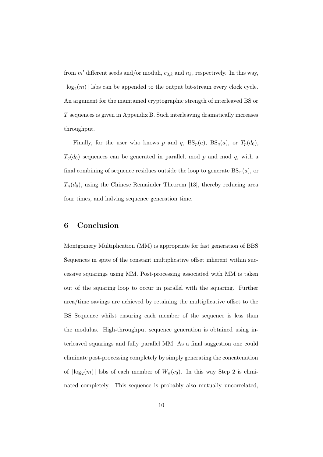from  $m'$  different seeds and/or moduli,  $c_{0,k}$  and  $n_k$ , respectively. In this way,  $\lfloor \log_2(m) \rfloor$  lsbs can be appended to the output bit-stream every clock cycle. An argument for the maintained cryptographic strength of interleaved BS or T sequences is given in Appendix B. Such interleaving dramatically increases throughput.

Finally, for the user who knows p and q,  $BS_p(a)$ ,  $BS_q(a)$ , or  $T_p(d_0)$ ,  $T_q(d_0)$  sequences can be generated in parallel, mod p and mod q, with a final combining of sequence residues outside the loop to generate  $BS_n(a)$ , or  $T_n(d_0)$ , using the Chinese Remainder Theorem [13], thereby reducing area four times, and halving sequence generation time.

#### 6 Conclusion

Montgomery Multiplication (MM) is appropriate for fast generation of BBS Sequences in spite of the constant multiplicative offset inherent within successive squarings using MM. Post-processing associated with MM is taken out of the squaring loop to occur in parallel with the squaring. Further area/time savings are achieved by retaining the multiplicative offset to the BS Sequence whilst ensuring each member of the sequence is less than the modulus. High-throughput sequence generation is obtained using interleaved squarings and fully parallel MM. As a final suggestion one could eliminate post-processing completely by simply generating the concatenation of  $\lfloor \log_2(m) \rfloor$  lsbs of each member of  $W_n(c_0)$ . In this way Step 2 is eliminated completely. This sequence is probably also mutually uncorrelated,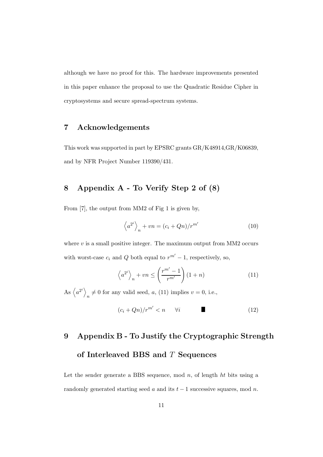although we have no proof for this. The hardware improvements presented in this paper enhance the proposal to use the Quadratic Residue Cipher in cryptosystems and secure spread-spectrum systems.

#### 7 Acknowledgements

This work was supported in part by EPSRC grants GR/K48914,GR/K06839, and by NFR Project Number 119390/431.

### 8 Appendix A - To Verify Step 2 of (8)

From [7], the output from MM2 of Fig 1 is given by,

$$
\left\langle a^{2^{i}} \right\rangle_{n} + v n = (c_{i} + Qn)/r^{m'}
$$
\n(10)

where  $v$  is a small positive integer. The maximum output from MM2 occurs with worst-case  $c_i$  and  $Q$  both equal to  $r^{m'} - 1$ , respectively, so,

$$
\left\langle a^{2^{i}} \right\rangle_{n} + vn \leq \left(\frac{r^{m'} - 1}{r^{m'}}\right)(1+n)
$$
\n(11)

As  $\left\langle a^{2^{i}}\right\rangle$  $n \neq 0$  for any valid seed, a, (11) implies  $v = 0$ , i.e.,

$$
(c_i + Qn)/r^{m'} < n \qquad \forall i \tag{12}
$$

# 9 Appendix B - To Justify the Cryptographic Strength of Interleaved BBS and T Sequences

Let the sender generate a BBS sequence, mod  $n$ , of length  $ht$  bits using a randomly generated starting seed a and its  $t - 1$  successive squares, mod n.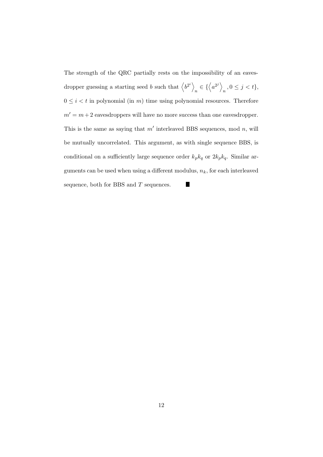The strength of the QRC partially rests on the impossibility of an eavesdropper guessing a starting seed b such that  $\langle b^{2^i} \rangle$  $_n \in \{\langle a^{2^j} \rangle\}$  $n, 0 \leq j < t$  $0\leq i < t$  in polynomial (in  $m)$  time using polynomial resources. Therefore  $m' = m + 2$  eavesdroppers will have no more success than one eavesdropper. This is the same as saying that  $m'$  interleaved BBS sequences, mod n, will be mutually uncorrelated. This argument, as with single sequence BBS, is conditional on a sufficiently large sequence order  $k_p k_q$  or  $2k_p k_q$ . Similar arguments can be used when using a different modulus,  $n_k$ , for each interleaved sequence, both for BBS and  $T$  sequences. П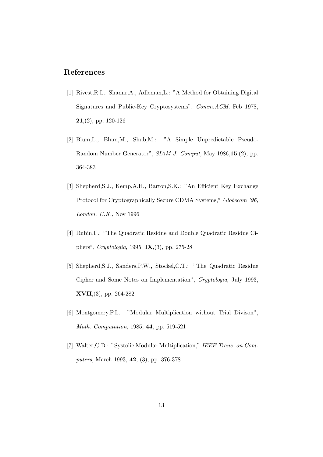#### References

- [1] Rivest,R.L., Shamir,A., Adleman,L.: "A Method for Obtaining Digital Signatures and Public-Key Cryptosystems", Comm.ACM, Feb 1978,  $21,(2)$ , pp. 120-126
- [2] Blum,L., Blum,M., Shub,M.: "A Simple Unpredictable Pseudo-Random Number Generator", SIAM J. Comput, May 1986,15,(2), pp. 364-383
- [3] Shepherd,S.J., Kemp,A.H., Barton,S.K.: "An Efficient Key Exchange Protocol for Cryptographically Secure CDMA Systems," Globecom '96, London, U.K., Nov 1996
- [4] Rubin,F.: "The Quadratic Residue and Double Quadratic Residue Ciphers", Cryptologia, 1995, IX,(3), pp. 275-28
- [5] Shepherd,S.J., Sanders,P.W., Stockel,C.T.: "The Quadratic Residue Cipher and Some Notes on Implementation", Cryptologia, July 1993, XVII,(3), pp. 264-282
- [6] Montgomery,P.L.: "Modular Multiplication without Trial Divison", Math. Computation, 1985, 44, pp. 519-521
- [7] Walter,C.D.: "Systolic Modular Multiplication," IEEE Trans. on Computers, March 1993, 42, (3), pp. 376-378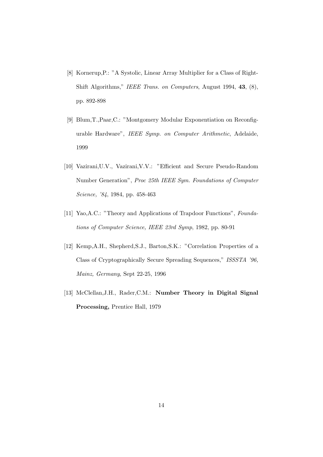- [8] Kornerup,P.: "A Systolic, Linear Array Multiplier for a Class of Right-Shift Algorithms," IEEE Trans. on Computers, August 1994, 43, (8), pp. 892-898
- [9] Blum,T.,Paar,C.: "Montgomery Modular Exponentiation on Reconfigurable Hardware", IEEE Symp. on Computer Arithmetic, Adelaide, 1999
- [10] Vazirani,U.V., Vazirani,V.V.: "Efficient and Secure Pseudo-Random Number Generation", Proc 25th IEEE Sym. Foundations of Computer Science, '84, 1984, pp. 458-463
- [11] Yao,A.C.: "Theory and Applications of Trapdoor Functions", Foundations of Computer Science, IEEE 23rd Symp, 1982, pp. 80-91
- [12] Kemp,A.H., Shepherd,S.J., Barton,S.K.: "Correlation Properties of a Class of Cryptographically Secure Spreading Sequences," ISSSTA '96, Mainz, Germany, Sept 22-25, 1996
- [13] McClellan, J.H., Rader, C.M.: Number Theory in Digital Signal Processing, Prentice Hall, 1979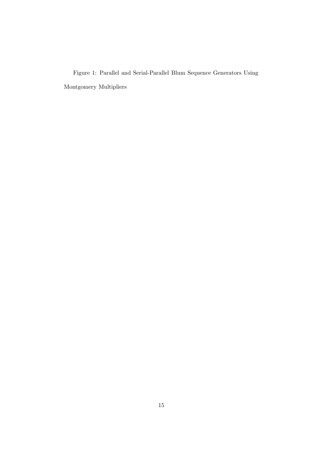Figure 1: Parallel and Serial-Parallel Blum Sequence Generators Using Montgomery Multipliers